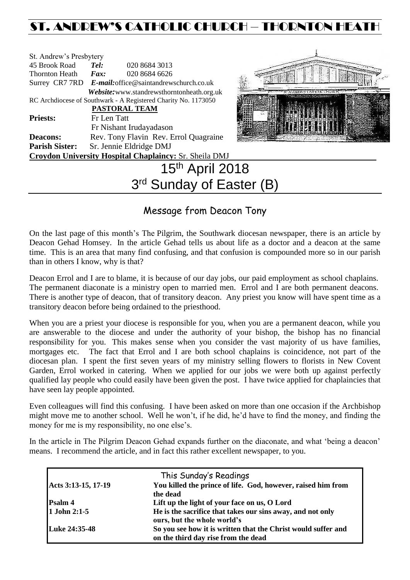# ST. ANDREW'S CATHOLIC CHURCH – THORNTON HEAT

| St. Andrew's Presbytery     |                                                       |                                                                |                 |  |  |
|-----------------------------|-------------------------------------------------------|----------------------------------------------------------------|-----------------|--|--|
| 45 Brook Road               | Tel:                                                  | 020 8684 3013                                                  |                 |  |  |
| Thornton Heath <i>Fax</i> : |                                                       | 020 8684 6626                                                  |                 |  |  |
|                             | Surrey CR7 7RD E-mail:office@saintandrewschurch.co.uk |                                                                |                 |  |  |
|                             |                                                       | Website: www.standrewsthorntonheath.org.uk                     |                 |  |  |
|                             |                                                       | RC Archdiocese of Southwark - A Registered Charity No. 1173050 |                 |  |  |
|                             | <b>PASTORAL TEAM</b>                                  |                                                                |                 |  |  |
| <b>Priests:</b>             | Fr Len Tatt                                           |                                                                |                 |  |  |
|                             |                                                       | Fr Nishant Irudayadason                                        |                 |  |  |
| <b>Deacons:</b>             | Rev. Tony Flavin Rev. Errol Quagraine                 |                                                                |                 |  |  |
|                             | Parish Sister: Sr. Jennie Eldridge DMJ                |                                                                |                 |  |  |
|                             |                                                       | <b>Croydon University Hospital Chaplaincy: Sr. Sheila DMJ</b>  |                 |  |  |
|                             |                                                       |                                                                | 15th April 2018 |  |  |



# 15th April 2018 3<sup>rd</sup> Sunday of Easter (B)

# Message from Deacon Tony

On the last page of this month's The Pilgrim, the Southwark diocesan newspaper, there is an article by Deacon Gehad Homsey. In the article Gehad tells us about life as a doctor and a deacon at the same time. This is an area that many find confusing, and that confusion is compounded more so in our parish than in others I know, why is that?

Deacon Errol and I are to blame, it is because of our day jobs, our paid employment as school chaplains. The permanent diaconate is a ministry open to married men. Errol and I are both permanent deacons. There is another type of deacon, that of transitory deacon. Any priest you know will have spent time as a transitory deacon before being ordained to the priesthood.

When you are a priest your diocese is responsible for you, when you are a permanent deacon, while you are answerable to the diocese and under the authority of your bishop, the bishop has no financial responsibility for you. This makes sense when you consider the vast majority of us have families, mortgages etc. The fact that Errol and I are both school chaplains is coincidence, not part of the diocesan plan. I spent the first seven years of my ministry selling flowers to florists in New Covent Garden, Errol worked in catering. When we applied for our jobs we were both up against perfectly qualified lay people who could easily have been given the post. I have twice applied for chaplaincies that have seen lay people appointed.

Even colleagues will find this confusing. I have been asked on more than one occasion if the Archbishop might move me to another school. Well he won't, if he did, he'd have to find the money, and finding the money for me is my responsibility, no one else's.

In the article in The Pilgrim Deacon Gehad expands further on the diaconate, and what 'being a deacon' means. I recommend the article, and in fact this rather excellent newspaper, to you.

|                     | This Sunday's Readings                                                                               |
|---------------------|------------------------------------------------------------------------------------------------------|
| Acts 3:13-15, 17-19 | You killed the prince of life. God, however, raised him from<br>the dead                             |
| <b>Psalm 4</b>      | Lift up the light of your face on us, O Lord                                                         |
| 1 John 2:1-5        | He is the sacrifice that takes our sins away, and not only<br>ours, but the whole world's            |
| Luke 24:35-48       | So you see how it is written that the Christ would suffer and<br>on the third day rise from the dead |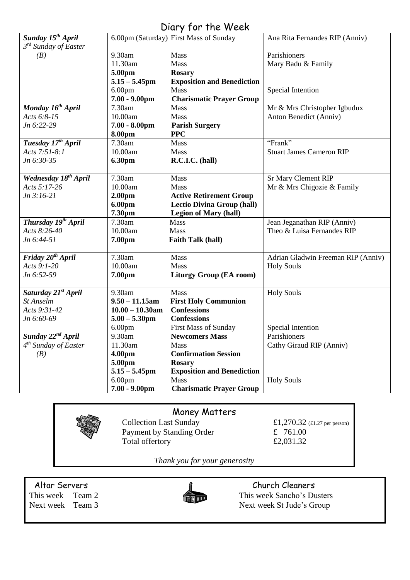# Diary for the Week

| Sunday 15 <sup>th</sup> April    |                    | 6.00pm (Saturday) First Mass of Sunday | Ana Rita Fernandes RIP (Anniv)     |
|----------------------------------|--------------------|----------------------------------------|------------------------------------|
| 3 <sup>rd</sup> Sunday of Easter |                    |                                        |                                    |
| (B)                              | 9.30am             | Mass                                   | Parishioners                       |
|                                  | 11.30am            | Mass                                   | Mary Badu & Family                 |
|                                  | 5.00pm             | <b>Rosary</b>                          |                                    |
|                                  | $5.15 - 5.45$ pm   | <b>Exposition and Benediction</b>      |                                    |
|                                  | 6.00 <sub>pm</sub> | Mass                                   | Special Intention                  |
|                                  | $7.00 - 9.00$ pm   | <b>Charismatic Prayer Group</b>        |                                    |
| Monday 16 <sup>th</sup> April    | 7.30am             | <b>Mass</b>                            | Mr & Mrs Christopher Igbudux       |
| Acts 6:8-15                      | 10.00am            | <b>Mass</b>                            | Anton Benedict (Anniv)             |
| Jn 6:22-29                       | $7.00 - 8.00$ pm   | <b>Parish Surgery</b>                  |                                    |
|                                  | 8.00pm             | <b>PPC</b>                             |                                    |
| Tuesday 17th April               | 7.30am             | Mass                                   | "Frank"                            |
| Acts 7:51-8:1                    | 10.00am            | <b>Mass</b>                            | <b>Stuart James Cameron RIP</b>    |
| Jn 6:30-35                       | 6.30pm             | R.C.I.C. (hall)                        |                                    |
|                                  |                    |                                        |                                    |
| Wednesday 18 <sup>th</sup> April | 7.30am             | <b>Mass</b>                            | <b>Sr Mary Clement RIP</b>         |
| Acts 5:17-26                     | 10.00am            | Mass                                   | Mr & Mrs Chigozie & Family         |
| $Jn 3:16-21$                     | 2.00 <sub>pm</sub> | <b>Active Retirement Group</b>         |                                    |
|                                  | 6.00pm             | <b>Lectio Divina Group (hall)</b>      |                                    |
|                                  | 7.30pm             | <b>Legion of Mary (hall)</b>           |                                    |
| Thursday 19th April              | 7.30am             | Mass                                   | Jean Jeganathan RIP (Anniv)        |
| Acts 8:26-40                     | 10.00am            | Mass                                   | Theo & Luisa Fernandes RIP         |
| Jn 6:44-51                       | 7.00pm             | <b>Faith Talk (hall)</b>               |                                    |
|                                  |                    |                                        |                                    |
| Friday 20 <sup>th</sup> April    | 7.30am             | Mass                                   | Adrian Gladwin Freeman RIP (Anniv) |
| Acts 9:1-20                      | 10.00am            | <b>Mass</b>                            | <b>Holy Souls</b>                  |
| Jn 6:52-59                       | 7.00pm             | <b>Liturgy Group (EA room)</b>         |                                    |
|                                  |                    |                                        |                                    |
| Saturday 21 <sup>st</sup> April  | 9.30am             | Mass                                   | <b>Holy Souls</b>                  |
| St Anselm                        | $9.50 - 11.15$ am  | <b>First Holy Communion</b>            |                                    |
| Acts 9:31-42                     | $10.00 - 10.30$ am | <b>Confessions</b>                     |                                    |
| Jn 6:60-69                       | $5.00 - 5.30$ pm   | <b>Confessions</b>                     |                                    |
|                                  | 6.00 <sub>pm</sub> | <b>First Mass of Sunday</b>            | Special Intention                  |
| Sunday 22 <sup>nd</sup> April    | 9.30am             | <b>Newcomers Mass</b>                  | Parishioners                       |
| 4 <sup>th</sup> Sunday of Easter | 11.30am            | Mass                                   | Cathy Giraud RIP (Anniv)           |
| (B)                              | 4.00 <sub>pm</sub> | <b>Confirmation Session</b>            |                                    |
|                                  | 5.00pm             | <b>Rosary</b>                          |                                    |
|                                  | $5.15 - 5.45$ pm   | <b>Exposition and Benediction</b>      |                                    |
|                                  | 6.00 <sub>pm</sub> | <b>Mass</b>                            | <b>Holy Souls</b>                  |
|                                  | $7.00 - 9.00$ pm   | <b>Charismatic Prayer Group</b>        |                                    |

## Money Matters

Payment by Standing Order  $\frac{\text{£} \quad 761.00}{\text{£}2,031.32}$ Total offertory

Collection Last Sunday  $£1,270.32$  (£1.27 per person)

*Thank you for your generosity*



Altar Servers **Church Cleaners Church Cleaners** This week Team 2 This week Sancho's Dusters<br>Next week Team 3 Next week St Jude's Group Next week St Jude's Group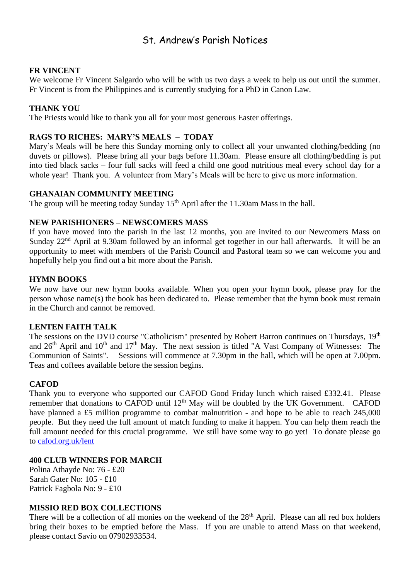# St. Andrew's Parish Notices

#### **FR VINCENT**

We welcome Fr Vincent Salgardo who will be with us two days a week to help us out until the summer. Fr Vincent is from the Philippines and is currently studying for a PhD in Canon Law.

#### **THANK YOU**

The Priests would like to thank you all for your most generous Easter offerings.

#### **RAGS TO RICHES: MARY'S MEALS – TODAY**

Mary's Meals will be here this Sunday morning only to collect all your unwanted clothing/bedding (no duvets or pillows). Please bring all your bags before 11.30am. Please ensure all clothing/bedding is put into tied black sacks – four full sacks will feed a child one good nutritious meal every school day for a whole year! Thank you. A volunteer from Mary's Meals will be here to give us more information.

#### **GHANAIAN COMMUNITY MEETING**

The group will be meeting today Sunday  $15<sup>th</sup>$  April after the 11.30am Mass in the hall.

#### **NEW PARISHIONERS – NEWSCOMERS MASS**

If you have moved into the parish in the last 12 months, you are invited to our Newcomers Mass on Sunday 22<sup>nd</sup> April at 9.30am followed by an informal get together in our hall afterwards. It will be an opportunity to meet with members of the Parish Council and Pastoral team so we can welcome you and hopefully help you find out a bit more about the Parish.

#### **HYMN BOOKS**

We now have our new hymn books available. When you open your hymn book, please pray for the person whose name(s) the book has been dedicated to. Please remember that the hymn book must remain in the Church and cannot be removed.

#### **LENTEN FAITH TALK**

The sessions on the DVD course "Catholicism" presented by Robert Barron continues on Thursdays, 19<sup>th</sup> and  $26<sup>th</sup>$  April and  $10<sup>th</sup>$  and  $17<sup>th</sup>$  May. The next session is titled "A Vast Company of Witnesses: The Communion of Saints". Sessions will commence at 7.30pm in the hall, which will be open at 7.00pm. Teas and coffees available before the session begins.

#### **CAFOD**

Thank you to everyone who supported our CAFOD Good Friday lunch which raised £332.41. Please remember that donations to CAFOD until  $12<sup>th</sup>$  May will be doubled by the UK Government. CAFOD have planned a £5 million programme to combat malnutrition - and hope to be able to reach 245,000 people. But they need the full amount of match funding to make it happen. You can help them reach the full amount needed for this crucial programme. We still have some way to go yet! To donate please go to [cafod.org.uk/lent](http://cafod.org.uk/lent)

#### **400 CLUB WINNERS FOR MARCH**

Polina Athayde No: 76 - £20 Sarah Gater No: 105 - £10 Patrick Fagbola No: 9 - £10

#### **MISSIO RED BOX COLLECTIONS**

There will be a collection of all monies on the weekend of the 28<sup>th</sup> April. Please can all red box holders bring their boxes to be emptied before the Mass. If you are unable to attend Mass on that weekend, please contact Savio on 07902933534.